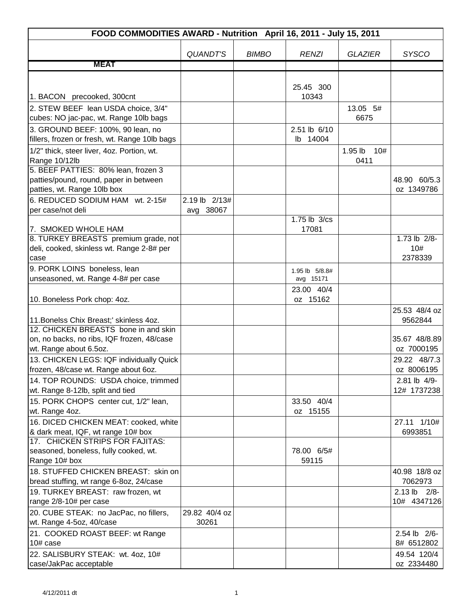|                                                                                                                                                                             | FOOD COMMODITIES AWARD - Nutrition April 16, 2011 - July 15, 2011 |              |  |                             |                        |                                           |
|-----------------------------------------------------------------------------------------------------------------------------------------------------------------------------|-------------------------------------------------------------------|--------------|--|-----------------------------|------------------------|-------------------------------------------|
|                                                                                                                                                                             |                                                                   |              |  |                             |                        |                                           |
|                                                                                                                                                                             | <b>QUANDT'S</b>                                                   | <b>BIMBO</b> |  | <b>RENZI</b>                | <b>GLAZIER</b>         | <b>SYSCO</b>                              |
| <b>MEAT</b>                                                                                                                                                                 |                                                                   |              |  |                             |                        |                                           |
| 1. BACON precooked, 300cnt                                                                                                                                                  |                                                                   |              |  | 25.45 300<br>10343          |                        |                                           |
| 2. STEW BEEF lean USDA choice, 3/4"                                                                                                                                         |                                                                   |              |  |                             | 13.05 5#               |                                           |
| cubes: NO jac-pac, wt. Range 10lb bags                                                                                                                                      |                                                                   |              |  |                             | 6675                   |                                           |
| 3. GROUND BEEF: 100%, 90 lean, no<br>fillers, frozen or fresh, wt. Range 10lb bags                                                                                          |                                                                   |              |  | 2.51 lb 6/10<br>14004<br>lb |                        |                                           |
| 1/2" thick, steer liver, 4oz. Portion, wt.<br>Range 10/12lb<br>5. BEEF PATTIES: 80% lean, frozen 3<br>patties/pound, round, paper in between<br>patties, wt. Range 10lb box |                                                                   |              |  |                             | 1.95 lb<br>10#<br>0411 | 48.90 60/5.3<br>oz 1349786                |
| 6. REDUCED SODIUM HAM wt. 2-15#                                                                                                                                             | 2.19 lb 2/13#                                                     |              |  |                             |                        |                                           |
| per case/not deli                                                                                                                                                           | avg 38067                                                         |              |  |                             |                        |                                           |
| 7. SMOKED WHOLE HAM                                                                                                                                                         |                                                                   |              |  | 1.75 lb 3/cs<br>17081       |                        |                                           |
| 8. TURKEY BREASTS premium grade, not<br>deli, cooked, skinless wt. Range 2-8# per<br>case                                                                                   |                                                                   |              |  |                             |                        | 1.73 lb 2/8-<br>10#<br>2378339            |
| 9. PORK LOINS boneless, lean                                                                                                                                                |                                                                   |              |  | 1.95 lb 5/8.8#              |                        |                                           |
| unseasoned, wt. Range 4-8# per case                                                                                                                                         |                                                                   |              |  | avg 15171                   |                        |                                           |
| 10. Boneless Pork chop: 4oz.                                                                                                                                                |                                                                   |              |  | 23.00 40/4<br>oz 15162      |                        |                                           |
| 11. Bonelss Chix Breast;' skinless 4oz.<br>12. CHICKEN BREASTS bone in and skin<br>on, no backs, no ribs, IQF frozen, 48/case                                               |                                                                   |              |  |                             |                        | 25.53 48/4 oz<br>9562844<br>35.67 48/8.89 |
| wt. Range about 6.5oz.                                                                                                                                                      |                                                                   |              |  |                             |                        | oz 7000195                                |
| 13. CHICKEN LEGS: IQF individually Quick<br>frozen, 48/case wt. Range about 6oz.                                                                                            |                                                                   |              |  |                             |                        | 29.22 48/7.3<br>oz 8006195                |
| 14. TOP ROUNDS: USDA choice, trimmed                                                                                                                                        |                                                                   |              |  |                             |                        | 2.81 lb 4/9-                              |
| wt. Range 8-12lb, split and tied                                                                                                                                            |                                                                   |              |  |                             |                        | 12# 1737238                               |
| 15. PORK CHOPS center cut, 1/2" lean,                                                                                                                                       |                                                                   |              |  | 33.50 40/4                  |                        |                                           |
| wt. Range 4oz.                                                                                                                                                              |                                                                   |              |  | oz 15155                    |                        |                                           |
| 16. DICED CHICKEN MEAT: cooked, white                                                                                                                                       |                                                                   |              |  |                             |                        | 27.11 1/10#                               |
| & dark meat, IQF, wt range 10# box                                                                                                                                          |                                                                   |              |  |                             |                        | 6993851                                   |
| 17. CHICKEN STRIPS FOR FAJITAS:<br>seasoned, boneless, fully cooked, wt.<br>Range 10# box                                                                                   |                                                                   |              |  | 78.00 6/5#<br>59115         |                        |                                           |
| 18. STUFFED CHICKEN BREAST: skin on                                                                                                                                         |                                                                   |              |  |                             |                        | 40.98 18/8 oz<br>7062973                  |
| bread stuffing, wt range 6-8oz, 24/case<br>19. TURKEY BREAST: raw frozen, wt                                                                                                |                                                                   |              |  |                             |                        | $2.13$ lb $2/8$ -                         |
| range 2/8-10# per case                                                                                                                                                      |                                                                   |              |  |                             |                        | 10# 4347126                               |
| 20. CUBE STEAK: no JacPac, no fillers,                                                                                                                                      | 29.82 40/4 oz                                                     |              |  |                             |                        |                                           |
| wt. Range 4-5oz, 40/case                                                                                                                                                    | 30261                                                             |              |  |                             |                        |                                           |
| 21. COOKED ROAST BEEF: wt Range                                                                                                                                             |                                                                   |              |  |                             |                        | 2.54 lb 2/6-                              |
| 10# case                                                                                                                                                                    |                                                                   |              |  |                             |                        | 8# 6512802                                |
| 22. SALISBURY STEAK: wt. 4oz, 10#                                                                                                                                           |                                                                   |              |  |                             |                        | 49.54 120/4                               |
| case/JakPac acceptable                                                                                                                                                      |                                                                   |              |  |                             |                        | oz 2334480                                |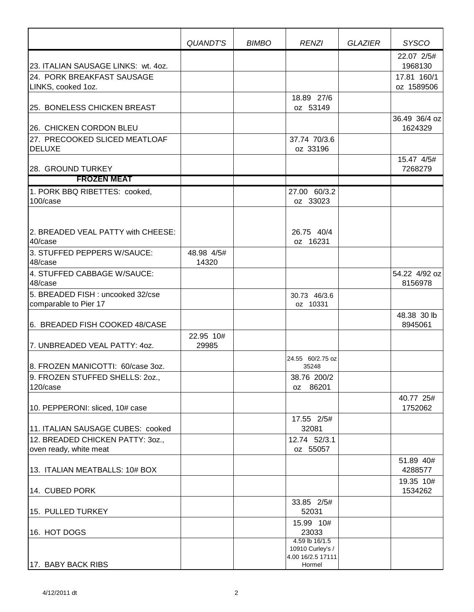|                                                            | QUANDT'S            | <b>BIMBO</b> | <b>RENZI</b>                                            | <b>GLAZIER</b> | <b>SYSCO</b>              |
|------------------------------------------------------------|---------------------|--------------|---------------------------------------------------------|----------------|---------------------------|
| 23. ITALIAN SAUSAGE LINKS: wt. 4oz.                        |                     |              |                                                         |                | 22.07 2/5#<br>1968130     |
| 24. PORK BREAKFAST SAUSAGE<br>LINKS, cooked 1oz.           |                     |              |                                                         |                | 17.81 160/1<br>oz 1589506 |
| 25. BONELESS CHICKEN BREAST                                |                     |              | 18.89 27/6<br>oz 53149                                  |                |                           |
| 26. CHICKEN CORDON BLEU                                    |                     |              |                                                         |                | 36.49 36/4 oz<br>1624329  |
| 27. PRECOOKED SLICED MEATLOAF<br><b>DELUXE</b>             |                     |              | 37.74 70/3.6<br>oz 33196                                |                |                           |
| 28. GROUND TURKEY<br><b>FROZEN MEAT</b>                    |                     |              |                                                         |                | 15.47 4/5#<br>7268279     |
|                                                            |                     |              |                                                         |                |                           |
| 1. PORK BBQ RIBETTES: cooked,<br>100/case                  |                     |              | 27.00 60/3.2<br>oz 33023                                |                |                           |
| 2. BREADED VEAL PATTY with CHEESE:<br>40/case              |                     |              | 26.75 40/4<br>oz 16231                                  |                |                           |
| 3. STUFFED PEPPERS W/SAUCE:<br>48/case                     | 48.98 4/5#<br>14320 |              |                                                         |                |                           |
| 4. STUFFED CABBAGE W/SAUCE:<br>48/case                     |                     |              |                                                         |                | 54.22 4/92 oz<br>8156978  |
| 5. BREADED FISH: uncooked 32/cse<br>comparable to Pier 17  |                     |              | 30.73 46/3.6<br>oz 10331                                |                |                           |
| 6. BREADED FISH COOKED 48/CASE                             |                     |              |                                                         |                | 48.38 30 lb<br>8945061    |
| 7. UNBREADED VEAL PATTY: 40Z.                              | 22.95 10#<br>29985  |              |                                                         |                |                           |
| 8. FROZEN MANICOTTI: 60/case 3oz.                          |                     |              | 24.55 60/2.75 oz<br>35248                               |                |                           |
| 9. FROZEN STUFFED SHELLS: 20Z.,<br>120/case                |                     |              | 38.76 200/2<br>oz 86201                                 |                |                           |
| 10. PEPPERONI: sliced, 10# case                            |                     |              |                                                         |                | 40.77 25#<br>1752062      |
| 11. ITALIAN SAUSAGE CUBES: cooked                          |                     |              | 17.55 2/5#<br>32081                                     |                |                           |
| 12. BREADED CHICKEN PATTY: 30Z.,<br>oven ready, white meat |                     |              | 12.74 52/3.1<br>oz 55057                                |                |                           |
| 13. ITALIAN MEATBALLS: 10# BOX                             |                     |              |                                                         |                | 51.89 40#<br>4288577      |
| 14. CUBED PORK                                             |                     |              |                                                         |                | 19.35 10#<br>1534262      |
| 15. PULLED TURKEY                                          |                     |              | 33.85 2/5#<br>52031                                     |                |                           |
| 16. HOT DOGS                                               |                     |              | 15.99 10#<br>23033                                      |                |                           |
|                                                            |                     |              | 4.59 lb 16/1.5<br>10910 Curley's /<br>4.00 16/2.5 17111 |                |                           |
| 17. BABY BACK RIBS                                         |                     |              | Hormel                                                  |                |                           |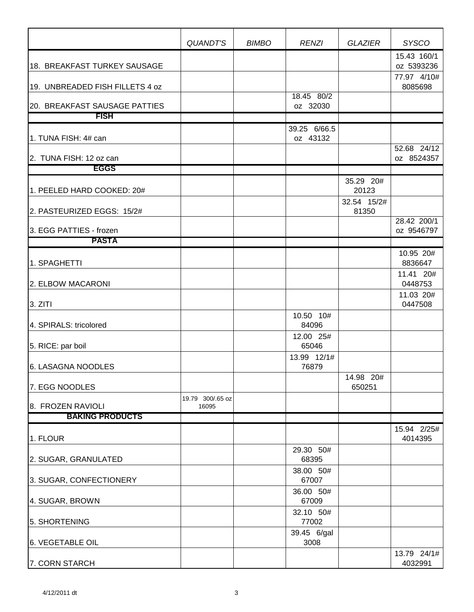|                                 | QUANDT'S                  | <b>BIMBO</b> | <b>RENZI</b>             | <b>GLAZIER</b>       | <b>SYSCO</b>              |
|---------------------------------|---------------------------|--------------|--------------------------|----------------------|---------------------------|
|                                 |                           |              |                          |                      | 15.43 160/1               |
| 18. BREAKFAST TURKEY SAUSAGE    |                           |              |                          |                      | oz 5393236<br>77.97 4/10# |
| 19. UNBREADED FISH FILLETS 4 oz |                           |              |                          |                      | 8085698                   |
| 20. BREAKFAST SAUSAGE PATTIES   |                           |              | 18.45 80/2<br>oz 32030   |                      |                           |
| <b>FISH</b>                     |                           |              |                          |                      |                           |
| 1. TUNA FISH: 4# can            |                           |              | 39.25 6/66.5<br>oz 43132 |                      |                           |
| 2. TUNA FISH: 12 oz can         |                           |              |                          |                      | 52.68 24/12<br>oz 8524357 |
| <b>EGGS</b>                     |                           |              |                          |                      |                           |
| 1. PEELED HARD COOKED: 20#      |                           |              |                          | 35.29 20#<br>20123   |                           |
| 2. PASTEURIZED EGGS: 15/2#      |                           |              |                          | 32.54 15/2#<br>81350 |                           |
| 3. EGG PATTIES - frozen         |                           |              |                          |                      | 28.42 200/1<br>oz 9546797 |
| <b>PASTA</b>                    |                           |              |                          |                      |                           |
| 1. SPAGHETTI                    |                           |              |                          |                      | 10.95 20#<br>8836647      |
| 2. ELBOW MACARONI               |                           |              |                          |                      | 11.41 20#<br>0448753      |
|                                 |                           |              |                          |                      | 11.03 20#                 |
| 3. ZITI                         |                           |              |                          |                      | 0447508                   |
| 4. SPIRALS: tricolored          |                           |              | 10.50 10#<br>84096       |                      |                           |
| 5. RICE: par boil               |                           |              | 12.00 25#<br>65046       |                      |                           |
| 6. LASAGNA NOODLES              |                           |              | 13.99 12/1#<br>76879     |                      |                           |
| 7. EGG NOODLES                  |                           |              |                          | 14.98 20#<br>650251  |                           |
| 8. FROZEN RAVIOLI               | 19.79 300/.65 oz<br>16095 |              |                          |                      |                           |
| <b>BAKING PRODUCTS</b>          |                           |              |                          |                      |                           |
| 1. FLOUR                        |                           |              |                          |                      | 15.94 2/25#<br>4014395    |
| 2. SUGAR, GRANULATED            |                           |              | 29.30 50#<br>68395       |                      |                           |
| 3. SUGAR, CONFECTIONERY         |                           |              | 38.00 50#<br>67007       |                      |                           |
|                                 |                           |              | 36.00 50#                |                      |                           |
| 4. SUGAR, BROWN                 |                           |              | 67009                    |                      |                           |
| 5. SHORTENING                   |                           |              | 32.10 50#<br>77002       |                      |                           |
| 6. VEGETABLE OIL                |                           |              | 39.45 6/gal<br>3008      |                      |                           |
| 7. CORN STARCH                  |                           |              |                          |                      | 13.79 24/1#<br>4032991    |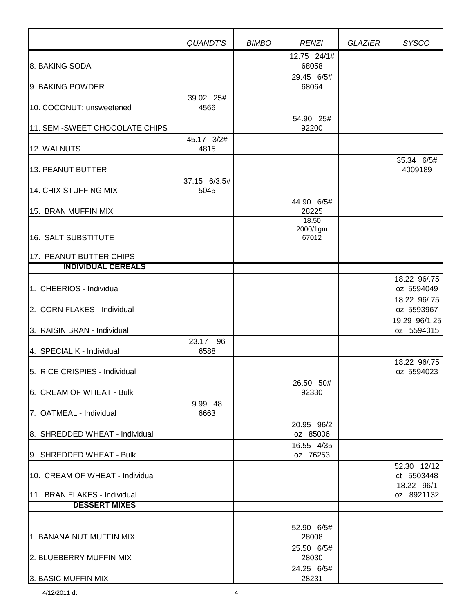|                                 | QUANDT'S          | <b>BIMBO</b> | <b>RENZI</b>               | <b>GLAZIER</b> | <b>SYSCO</b>                |
|---------------------------------|-------------------|--------------|----------------------------|----------------|-----------------------------|
| 8. BAKING SODA                  |                   |              | 12.75 24/1#<br>68058       |                |                             |
| 9. BAKING POWDER                |                   |              | 29.45 6/5#<br>68064        |                |                             |
| 10. COCONUT: unsweetened        | 39.02 25#<br>4566 |              |                            |                |                             |
| 11. SEMI-SWEET CHOCOLATE CHIPS  | 45.17 3/2#        |              | 54.90 25#<br>92200         |                |                             |
| 12. WALNUTS                     | 4815              |              |                            |                |                             |
| 13. PEANUT BUTTER               | 37.15 6/3.5#      |              |                            |                | 35.34 6/5#<br>4009189       |
| 14. CHIX STUFFING MIX           | 5045              |              |                            |                |                             |
| 15. BRAN MUFFIN MIX             |                   |              | 44.90 6/5#<br>28225        |                |                             |
| 16. SALT SUBSTITUTE             |                   |              | 18.50<br>2000/1gm<br>67012 |                |                             |
| 17. PEANUT BUTTER CHIPS         |                   |              |                            |                |                             |
| <b>INDIVIDUAL CEREALS</b>       |                   |              |                            |                |                             |
| 1. CHEERIOS - Individual        |                   |              |                            |                | 18.22 96/.75<br>oz 5594049  |
| 2. CORN FLAKES - Individual     |                   |              |                            |                | 18.22 96/.75<br>oz 5593967  |
| 3. RAISIN BRAN - Individual     |                   |              |                            |                | 19.29 96/1.25<br>oz 5594015 |
| 4. SPECIAL K - Individual       | 23.17 96<br>6588  |              |                            |                |                             |
| 5. RICE CRISPIES - Individual   |                   |              |                            |                | 18.22 96/.75<br>oz 5594023  |
| 6. CREAM OF WHEAT - Bulk        |                   |              | 26.50 50#<br>92330         |                |                             |
| 7. OATMEAL - Individual         | 9.99 48<br>6663   |              |                            |                |                             |
| 8. SHREDDED WHEAT - Individual  |                   |              | 20.95 96/2<br>oz 85006     |                |                             |
| 9. SHREDDED WHEAT - Bulk        |                   |              | 16.55 4/35<br>oz 76253     |                |                             |
| 10. CREAM OF WHEAT - Individual |                   |              |                            |                | 52.30 12/12<br>ct 5503448   |
| 11. BRAN FLAKES - Individual    |                   |              |                            |                | 18.22 96/1<br>oz 8921132    |
| <b>DESSERT MIXES</b>            |                   |              |                            |                |                             |
| 1. BANANA NUT MUFFIN MIX        |                   |              | 52.90 6/5#<br>28008        |                |                             |
| 2. BLUEBERRY MUFFIN MIX         |                   |              | 25.50 6/5#<br>28030        |                |                             |
| 3. BASIC MUFFIN MIX             |                   |              | 24.25 6/5#<br>28231        |                |                             |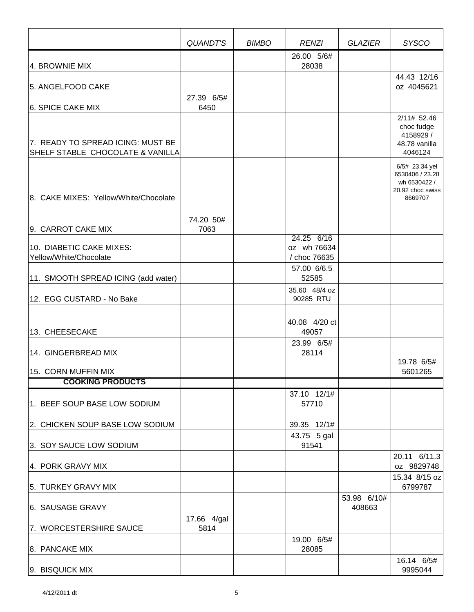|                                                                       | QUANDT'S            | <b>BIMBO</b> | <b>RENZI</b>                                             | <b>GLAZIER</b>        | <b>SYSCO</b>                                                                     |
|-----------------------------------------------------------------------|---------------------|--------------|----------------------------------------------------------|-----------------------|----------------------------------------------------------------------------------|
| 4. BROWNIE MIX                                                        |                     |              | 26.00 5/6#<br>28038                                      |                       |                                                                                  |
| 5. ANGELFOOD CAKE                                                     |                     |              |                                                          |                       | 44.43 12/16<br>oz 4045621                                                        |
| 6. SPICE CAKE MIX                                                     | 27.39 6/5#<br>6450  |              |                                                          |                       |                                                                                  |
| 7. READY TO SPREAD ICING: MUST BE<br>SHELF STABLE CHOCOLATE & VANILLA |                     |              |                                                          |                       | 2/11# 52.46<br>choc fudge<br>4158929 /<br>48.78 vanilla<br>4046124               |
| 8. CAKE MIXES: Yellow/White/Chocolate                                 |                     |              |                                                          |                       | 6/5# 23.34 yel<br>6530406 / 23.28<br>wh 6530422 /<br>20.92 choc swiss<br>8669707 |
| 9. CARROT CAKE MIX                                                    | 74.20 50#<br>7063   |              |                                                          |                       |                                                                                  |
| 10. DIABETIC CAKE MIXES:<br>Yellow/White/Chocolate                    |                     |              | 24.25 6/16<br>oz wh 76634<br>/ choc 76635<br>57.00 6/6.5 |                       |                                                                                  |
| 11. SMOOTH SPREAD ICING (add water)                                   |                     |              | 52585                                                    |                       |                                                                                  |
| 12. EGG CUSTARD - No Bake                                             |                     |              | 35.60 48/4 oz<br>90285 RTU                               |                       |                                                                                  |
| 13. CHEESECAKE                                                        |                     |              | 40.08 4/20 ct<br>49057                                   |                       |                                                                                  |
| 14. GINGERBREAD MIX                                                   |                     |              | 23.99 6/5#<br>28114                                      |                       |                                                                                  |
| 15. CORN MUFFIN MIX                                                   |                     |              |                                                          |                       | 19.78 6/5#<br>5601265                                                            |
| <b>COOKING PRODUCTS</b>                                               |                     |              |                                                          |                       |                                                                                  |
| 1. BEEF SOUP BASE LOW SODIUM                                          |                     |              | 37.10 12/1#<br>57710                                     |                       |                                                                                  |
| 2. CHICKEN SOUP BASE LOW SODIUM                                       |                     |              | 39.35 12/1#                                              |                       |                                                                                  |
| 3. SOY SAUCE LOW SODIUM                                               |                     |              | 43.75 5 gal<br>91541                                     |                       |                                                                                  |
| 4. PORK GRAVY MIX                                                     |                     |              |                                                          |                       | 20.11 6/11.3<br>oz 9829748                                                       |
| 5. TURKEY GRAVY MIX                                                   |                     |              |                                                          |                       | 15.34 8/15 oz<br>6799787                                                         |
| 6. SAUSAGE GRAVY                                                      |                     |              |                                                          | 53.98 6/10#<br>408663 |                                                                                  |
| 7. WORCESTERSHIRE SAUCE                                               | 17.66 4/gal<br>5814 |              |                                                          |                       |                                                                                  |
| 8. PANCAKE MIX                                                        |                     |              | 19.00 6/5#<br>28085                                      |                       |                                                                                  |
| 9. BISQUICK MIX                                                       |                     |              |                                                          |                       | 16.14 6/5#<br>9995044                                                            |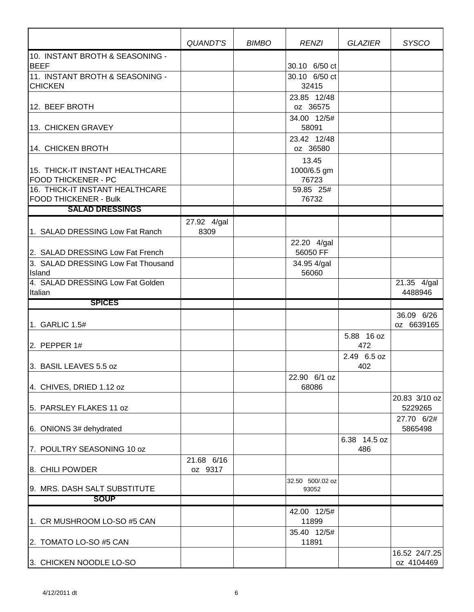|                                                        | QUANDT'S    | <b>BIMBO</b> | <b>RENZI</b>                   | <b>GLAZIER</b>      | <b>SYSCO</b>                        |
|--------------------------------------------------------|-------------|--------------|--------------------------------|---------------------|-------------------------------------|
| 10. INSTANT BROTH & SEASONING -<br><b>BEEF</b>         |             |              |                                |                     |                                     |
| 11. INSTANT BROTH & SEASONING -                        |             |              | 30.10 6/50 ct<br>30.10 6/50 ct |                     |                                     |
| <b>CHICKEN</b>                                         |             |              | 32415                          |                     |                                     |
| 12. BEEF BROTH                                         |             |              | 23.85 12/48<br>oz 36575        |                     |                                     |
| 13. CHICKEN GRAVEY                                     |             |              | 34.00 12/5#<br>58091           |                     |                                     |
|                                                        |             |              | 23.42 12/48                    |                     |                                     |
| 14. CHICKEN BROTH                                      |             |              | oz 36580                       |                     |                                     |
| 15. THICK-IT INSTANT HEALTHCARE                        |             |              | 13.45<br>1000/6.5 gm           |                     |                                     |
| <b>FOOD THICKENER - PC</b>                             |             |              | 76723                          |                     |                                     |
| 16. THICK-IT INSTANT HEALTHCARE                        |             |              | 59.85 25#                      |                     |                                     |
| <b>FOOD THICKENER - Bulk</b><br><b>SALAD DRESSINGS</b> |             |              | 76732                          |                     |                                     |
|                                                        | 27.92 4/gal |              |                                |                     |                                     |
| 1. SALAD DRESSING Low Fat Ranch                        | 8309        |              |                                |                     |                                     |
| 2. SALAD DRESSING Low Fat French                       |             |              | 22.20 4/gal<br>56050 FF        |                     |                                     |
| 3. SALAD DRESSING Low Fat Thousand                     |             |              | 34.95 4/gal                    |                     |                                     |
| Island                                                 |             |              | 56060                          |                     |                                     |
| 4. SALAD DRESSING Low Fat Golden<br>Italian            |             |              |                                |                     | $\overline{21.35}$ 4/gal<br>4488946 |
| <b>SPICES</b>                                          |             |              |                                |                     |                                     |
|                                                        |             |              |                                |                     | 36.09 6/26                          |
| 1. GARLIC 1.5#                                         |             |              |                                |                     | oz 6639165                          |
| 2. PEPPER $1#$                                         |             |              |                                | 5.88 16 oz<br>472   |                                     |
| 3. BASIL LEAVES 5.5 oz                                 |             |              |                                | 2.49 6.5 oz<br>402  |                                     |
|                                                        |             |              | 22.90 6/1 oz                   |                     |                                     |
| 4. CHIVES, DRIED 1.12 oz                               |             |              | 68086                          |                     |                                     |
| 5. PARSLEY FLAKES 11 oz                                |             |              |                                |                     | 20.83 3/10 oz<br>5229265            |
| 6. ONIONS 3# dehydrated                                |             |              |                                |                     | 27.70 6/2#<br>5865498               |
| 7. POULTRY SEASONING 10 oz                             |             |              |                                | 6.38 14.5 oz<br>486 |                                     |
|                                                        | 21.68 6/16  |              |                                |                     |                                     |
| 8. CHILI POWDER                                        | oz 9317     |              |                                |                     |                                     |
| 9. MRS. DASH SALT SUBSTITUTE                           |             |              | 32.50 500/.02 oz<br>93052      |                     |                                     |
| <b>SOUP</b>                                            |             |              |                                |                     |                                     |
|                                                        |             |              | 42.00 12/5#                    |                     |                                     |
| 1. CR MUSHROOM LO-SO #5 CAN                            |             |              | 11899<br>35.40 12/5#           |                     |                                     |
| 2. TOMATO LO-SO #5 CAN                                 |             |              | 11891                          |                     |                                     |
| 3. CHICKEN NOODLE LO-SO                                |             |              |                                |                     | 16.52 24/7.25<br>oz 4104469         |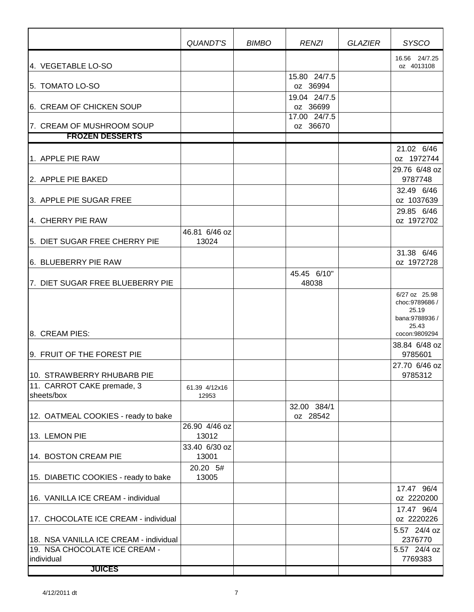|                                                                         | QUANDT'S               | <b>BIMBO</b> | <b>RENZI</b>             | <b>GLAZIER</b> | <b>SYSCO</b>                                                         |
|-------------------------------------------------------------------------|------------------------|--------------|--------------------------|----------------|----------------------------------------------------------------------|
| 4. VEGETABLE LO-SO                                                      |                        |              |                          |                | 16.56 24/7.25<br>oz 4013108                                          |
| 5. TOMATO LO-SO                                                         |                        |              | 15.80 24/7.5<br>oz 36994 |                |                                                                      |
| 6. CREAM OF CHICKEN SOUP                                                |                        |              | 19.04 24/7.5<br>oz 36699 |                |                                                                      |
| 7. CREAM OF MUSHROOM SOUP                                               |                        |              | 17.00 24/7.5<br>oz 36670 |                |                                                                      |
| <b>FROZEN DESSERTS</b>                                                  |                        |              |                          |                |                                                                      |
| 1. APPLE PIE RAW                                                        |                        |              |                          |                | 21.02 6/46<br>oz 1972744                                             |
| 2. APPLE PIE BAKED                                                      |                        |              |                          |                | 29.76 6/48 oz<br>9787748                                             |
| 3. APPLE PIE SUGAR FREE                                                 |                        |              |                          |                | 32.49 6/46<br>oz 1037639                                             |
| 4. CHERRY PIE RAW                                                       |                        |              |                          |                | 29.85 6/46<br>oz 1972702                                             |
|                                                                         | 46.81 6/46 oz          |              |                          |                |                                                                      |
| 5. DIET SUGAR FREE CHERRY PIE                                           | 13024                  |              |                          |                | 31.38 6/46                                                           |
| 6. BLUEBERRY PIE RAW                                                    |                        |              |                          |                | oz 1972728                                                           |
| 7. DIET SUGAR FREE BLUEBERRY PIE                                        |                        |              | 45.45 6/10"<br>48038     |                |                                                                      |
|                                                                         |                        |              |                          |                | 6/27 oz 25.98<br>choc: 9789686 /<br>25.19<br>bana:9788936 /<br>25.43 |
| 8. CREAM PIES:                                                          |                        |              |                          |                | cocon:9809294<br>38.84 6/48 oz                                       |
| 9. FRUIT OF THE FOREST PIE                                              |                        |              |                          |                | 9785601<br>27.70 6/46 oz                                             |
| 10. STRAWBERRY RHUBARB PIE                                              |                        |              |                          |                | 9785312                                                              |
| 11. CARROT CAKE premade, 3                                              | 61.39 4/12x16          |              |                          |                |                                                                      |
| sheets/box                                                              | 12953                  |              | 32.00 384/1              |                |                                                                      |
| 12. OATMEAL COOKIES - ready to bake                                     |                        |              | oz 28542                 |                |                                                                      |
| 13. LEMON PIE                                                           | 26.90 4/46 oz<br>13012 |              |                          |                |                                                                      |
| 14. BOSTON CREAM PIE                                                    | 33.40 6/30 oz<br>13001 |              |                          |                |                                                                      |
| 15. DIABETIC COOKIES - ready to bake                                    | 20.20 5#<br>13005      |              |                          |                |                                                                      |
| 16. VANILLA ICE CREAM - individual                                      |                        |              |                          |                | 17.47 96/4<br>oz 2220200                                             |
| 17. CHOCOLATE ICE CREAM - individual                                    |                        |              |                          |                | 17.47 96/4<br>oz 2220226                                             |
| 18. NSA VANILLA ICE CREAM - individual<br>19. NSA CHOCOLATE ICE CREAM - |                        |              |                          |                | 5.57 24/4 oz<br>2376770<br>5.57 24/4 oz                              |
| individual<br><b>JUICES</b>                                             |                        |              |                          |                | 7769383                                                              |
|                                                                         |                        |              |                          |                |                                                                      |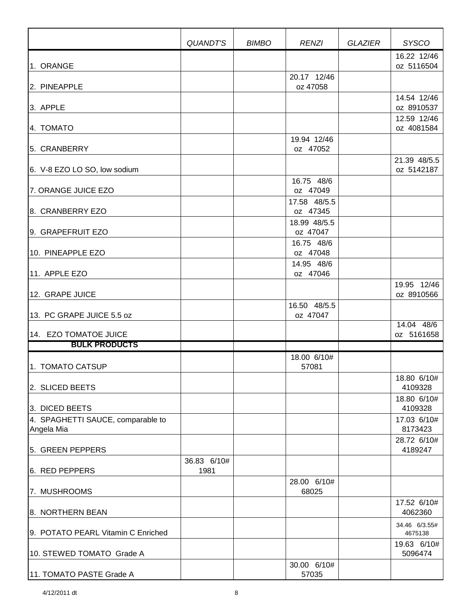|                                                 | QUANDT'S            | <b>BIMBO</b> | <b>RENZI</b>             | <b>GLAZIER</b> | <b>SYSCO</b>               |
|-------------------------------------------------|---------------------|--------------|--------------------------|----------------|----------------------------|
| 1. ORANGE                                       |                     |              |                          |                | 16.22 12/46<br>oz 5116504  |
| 2. PINEAPPLE                                    |                     |              | 20.17 12/46<br>oz 47058  |                |                            |
| 3. APPLE                                        |                     |              |                          |                | 14.54 12/46<br>oz 8910537  |
| 4. TOMATO                                       |                     |              |                          |                | 12.59 12/46<br>oz 4081584  |
| 5. CRANBERRY                                    |                     |              | 19.94 12/46<br>oz 47052  |                |                            |
| 6. V-8 EZO LO SO, low sodium                    |                     |              |                          |                | 21.39 48/5.5<br>oz 5142187 |
| 7. ORANGE JUICE EZO                             |                     |              | 16.75 48/6<br>oz 47049   |                |                            |
| 8. CRANBERRY EZO                                |                     |              | 17.58 48/5.5<br>oz 47345 |                |                            |
| 9. GRAPEFRUIT EZO                               |                     |              | 18.99 48/5.5<br>oz 47047 |                |                            |
| 10. PINEAPPLE EZO                               |                     |              | 16.75 48/6<br>oz 47048   |                |                            |
| 11. APPLE EZO                                   |                     |              | 14.95 48/6<br>oz 47046   |                |                            |
| 12. GRAPE JUICE                                 |                     |              |                          |                | 19.95 12/46<br>oz 8910566  |
| 13. PC GRAPE JUICE 5.5 oz                       |                     |              | 16.50 48/5.5<br>oz 47047 |                |                            |
| 14. EZO TOMATOE JUICE                           |                     |              |                          |                | 14.04 48/6<br>oz 5161658   |
| <b>BULK PRODUCTS</b>                            |                     |              |                          |                |                            |
| 1. TOMATO CATSUP                                |                     |              | 18.00 6/10#<br>57081     |                |                            |
| 2. SLICED BEETS                                 |                     |              |                          |                | 18.80 6/10#<br>4109328     |
| 3. DICED BEETS                                  |                     |              |                          |                | 18.80 6/10#<br>4109328     |
| 4. SPAGHETTI SAUCE, comparable to<br>Angela Mia |                     |              |                          |                | 17.03 6/10#<br>8173423     |
| 5. GREEN PEPPERS                                |                     |              |                          |                | 28.72 6/10#<br>4189247     |
| 6. RED PEPPERS                                  | 36.83 6/10#<br>1981 |              |                          |                |                            |
| 7. MUSHROOMS                                    |                     |              | 28.00 6/10#<br>68025     |                |                            |
| 8. NORTHERN BEAN                                |                     |              |                          |                | 17.52 6/10#<br>4062360     |
| 9. POTATO PEARL Vitamin C Enriched              |                     |              |                          |                | 34.46 6/3.55#<br>4675138   |
| 10. STEWED TOMATO Grade A                       |                     |              |                          |                | 19.63 6/10#<br>5096474     |
| 11. TOMATO PASTE Grade A                        |                     |              | 30.00 6/10#<br>57035     |                |                            |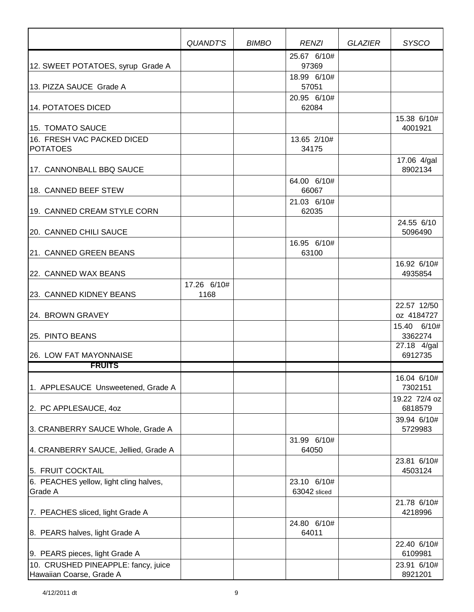|                                                                 | QUANDT'S            | <b>BIMBO</b> | <b>RENZI</b>                | <b>GLAZIER</b> | <b>SYSCO</b>              |
|-----------------------------------------------------------------|---------------------|--------------|-----------------------------|----------------|---------------------------|
| 12. SWEET POTATOES, syrup Grade A                               |                     |              | 25.67 6/10#<br>97369        |                |                           |
| 13. PIZZA SAUCE Grade A                                         |                     |              | 18.99 6/10#<br>57051        |                |                           |
| 14. POTATOES DICED                                              |                     |              | 20.95 6/10#<br>62084        |                |                           |
| 15. TOMATO SAUCE                                                |                     |              |                             |                | 15.38 6/10#<br>4001921    |
| 16. FRESH VAC PACKED DICED<br><b>POTATOES</b>                   |                     |              | 13.65 2/10#<br>34175        |                |                           |
| 17. CANNONBALL BBQ SAUCE                                        |                     |              |                             |                | 17.06 4/gal<br>8902134    |
| 18. CANNED BEEF STEW                                            |                     |              | 64.00 6/10#<br>66067        |                |                           |
| 19. CANNED CREAM STYLE CORN                                     |                     |              | 21.03 6/10#<br>62035        |                |                           |
| 20. CANNED CHILI SAUCE                                          |                     |              |                             |                | 24.55 6/10<br>5096490     |
| 21. CANNED GREEN BEANS                                          |                     |              | 16.95 6/10#<br>63100        |                |                           |
| 22. CANNED WAX BEANS                                            |                     |              |                             |                | 16.92 6/10#<br>4935854    |
| <b>23. CANNED KIDNEY BEANS</b>                                  | 17.26 6/10#<br>1168 |              |                             |                |                           |
| 24. BROWN GRAVEY                                                |                     |              |                             |                | 22.57 12/50<br>oz 4184727 |
| 25. PINTO BEANS                                                 |                     |              |                             |                | 15.40 6/10#<br>3362274    |
| 26. LOW FAT MAYONNAISE                                          |                     |              |                             |                | 27.18 4/gal<br>6912735    |
| <u>FRUITS</u>                                                   |                     |              |                             |                |                           |
| 1. APPLESAUCE Unsweetened, Grade A                              |                     |              |                             |                | 16.04 6/10#<br>7302151    |
| 2. PC APPLESAUCE, 40Z                                           |                     |              |                             |                | 19.22 72/4 oz<br>6818579  |
| 3. CRANBERRY SAUCE Whole, Grade A                               |                     |              |                             |                | 39.94 6/10#<br>5729983    |
| 4. CRANBERRY SAUCE, Jellied, Grade A                            |                     |              | 31.99 6/10#<br>64050        |                |                           |
| 5. FRUIT COCKTAIL                                               |                     |              |                             |                | 23.81 6/10#<br>4503124    |
| 6. PEACHES yellow, light cling halves,<br>Grade A               |                     |              | 23.10 6/10#<br>63042 sliced |                |                           |
| 7. PEACHES sliced, light Grade A                                |                     |              |                             |                | 21.78 6/10#<br>4218996    |
| 8. PEARS halves, light Grade A                                  |                     |              | 24.80 6/10#<br>64011        |                |                           |
| 9. PEARS pieces, light Grade A                                  |                     |              |                             |                | 22.40 6/10#<br>6109981    |
| 10. CRUSHED PINEAPPLE: fancy, juice<br>Hawaiian Coarse, Grade A |                     |              |                             |                | 23.91 6/10#<br>8921201    |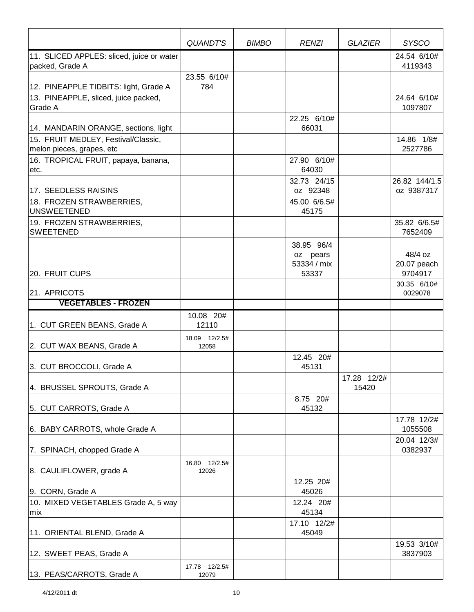|                                                                                          | QUANDT'S                | <b>BIMBO</b> | <b>RENZI</b>                          | <b>GLAZIER</b>       | <b>SYSCO</b>                          |
|------------------------------------------------------------------------------------------|-------------------------|--------------|---------------------------------------|----------------------|---------------------------------------|
| 11. SLICED APPLES: sliced, juice or water<br>packed, Grade A                             |                         |              |                                       |                      | 24.54 6/10#<br>4119343                |
| 12. PINEAPPLE TIDBITS: light, Grade A<br>13. PINEAPPLE, sliced, juice packed,<br>Grade A | 23.55 6/10#<br>784      |              | 22.25 6/10#                           |                      | 24.64 6/10#<br>1097807                |
| 14. MANDARIN ORANGE, sections, light<br>15. FRUIT MEDLEY, Festival/Classic,              |                         |              | 66031                                 |                      | 14.86 1/8#                            |
| melon pieces, grapes, etc<br>16. TROPICAL FRUIT, papaya, banana,                         |                         |              | 27.90 6/10#                           |                      | 2527786                               |
| etc.                                                                                     |                         |              | 64030<br>32.73 24/15                  |                      | 26.82 144/1.5                         |
| 17. SEEDLESS RAISINS<br>18. FROZEN STRAWBERRIES,<br><b>UNSWEETENED</b>                   |                         |              | oz 92348<br>45.00 6/6.5#<br>45175     |                      | oz 9387317                            |
| 19. FROZEN STRAWBERRIES,<br><b>SWEETENED</b>                                             |                         |              |                                       |                      | 35.82 6/6.5#<br>7652409               |
|                                                                                          |                         |              | 38.95 96/4<br>oz pears<br>53334 / mix |                      | 48/4 oz<br>20.07 peach                |
| 20. FRUIT CUPS                                                                           |                         |              | 53337                                 |                      | 9704917<br>30.35 6/10#                |
| 21. APRICOTS<br><b>VEGETABLES - FROZEN</b>                                               |                         |              |                                       |                      | 0029078                               |
|                                                                                          | 10.08 20#               |              |                                       |                      |                                       |
| 1. CUT GREEN BEANS, Grade A                                                              | 12110                   |              |                                       |                      |                                       |
| 2. CUT WAX BEANS, Grade A                                                                | 18.09 12/2.5#<br>12058  |              |                                       |                      |                                       |
| 3. CUT BROCCOLI, Grade A                                                                 |                         |              | 12.45 20#<br>45131                    |                      |                                       |
| 4. BRUSSEL SPROUTS, Grade A                                                              |                         |              |                                       | 17.28 12/2#<br>15420 |                                       |
| 5. CUT CARROTS, Grade A                                                                  |                         |              | 8.75 20#<br>45132                     |                      |                                       |
| 6. BABY CARROTS, whole Grade A                                                           |                         |              |                                       |                      | 17.78 12/2#<br>1055508<br>20.04 12/3# |
| 7. SPINACH, chopped Grade A                                                              | 16.80 12/2.5#           |              |                                       |                      | 0382937                               |
| 8. CAULIFLOWER, grade A                                                                  | 12026                   |              | 12.25 20#                             |                      |                                       |
| 9. CORN, Grade A                                                                         |                         |              | 45026                                 |                      |                                       |
| 10. MIXED VEGETABLES Grade A, 5 way<br>mix                                               |                         |              | 12.24 20#<br>45134                    |                      |                                       |
| 11. ORIENTAL BLEND, Grade A                                                              |                         |              | 17.10 12/2#<br>45049                  |                      |                                       |
| 12. SWEET PEAS, Grade A                                                                  |                         |              |                                       |                      | 19.53 3/10#<br>3837903                |
| 13. PEAS/CARROTS, Grade A                                                                | 17.78  12/2.5#<br>12079 |              |                                       |                      |                                       |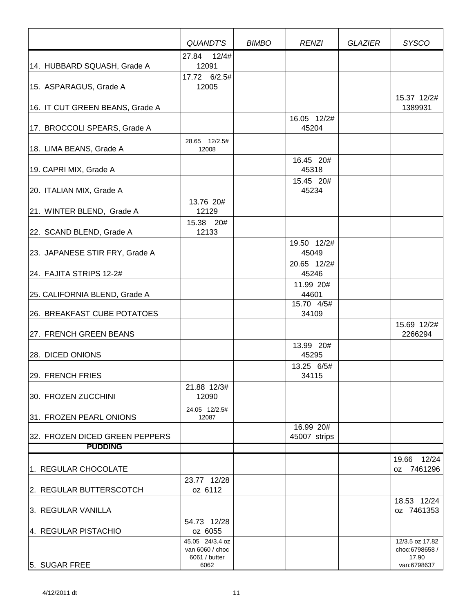|                                 | QUANDT'S                                                    | <b>BIMBO</b> | <b>RENZI</b>              | GLAZIER | <b>SYSCO</b>                                              |
|---------------------------------|-------------------------------------------------------------|--------------|---------------------------|---------|-----------------------------------------------------------|
|                                 | 27.84 12/4#                                                 |              |                           |         |                                                           |
| 14. HUBBARD SQUASH, Grade A     | 12091                                                       |              |                           |         |                                                           |
| 15. ASPARAGUS, Grade A          | 17.72 6/2.5#<br>12005                                       |              |                           |         |                                                           |
| 16. IT CUT GREEN BEANS, Grade A |                                                             |              |                           |         | 15.37 12/2#<br>1389931                                    |
| 17. BROCCOLI SPEARS, Grade A    |                                                             |              | 16.05 12/2#<br>45204      |         |                                                           |
| 18. LIMA BEANS, Grade A         | 28.65 12/2.5#<br>12008                                      |              |                           |         |                                                           |
| 19. CAPRI MIX, Grade A          |                                                             |              | 16.45 20#<br>45318        |         |                                                           |
| 20. ITALIAN MIX, Grade A        | 13.76 20#                                                   |              | 15.45 20#<br>45234        |         |                                                           |
| 21. WINTER BLEND, Grade A       | 12129                                                       |              |                           |         |                                                           |
| 22. SCAND BLEND, Grade A        | 15.38 20#<br>12133                                          |              |                           |         |                                                           |
| 23. JAPANESE STIR FRY, Grade A  |                                                             |              | 19.50 12/2#<br>45049      |         |                                                           |
| 24. FAJITA STRIPS 12-2#         |                                                             |              | 20.65 12/2#<br>45246      |         |                                                           |
| 25. CALIFORNIA BLEND, Grade A   |                                                             |              | 11.99 20#<br>44601        |         |                                                           |
| 26. BREAKFAST CUBE POTATOES     |                                                             |              | 15.70 4/5#<br>34109       |         |                                                           |
| 27. FRENCH GREEN BEANS          |                                                             |              |                           |         | 15.69 12/2#<br>2266294                                    |
| 28. DICED ONIONS                |                                                             |              | 13.99 20#<br>45295        |         |                                                           |
| 29. FRENCH FRIES                |                                                             |              | 13.25 6/5#<br>34115       |         |                                                           |
| 30. FROZEN ZUCCHINI             | 21.88 12/3#<br>12090                                        |              |                           |         |                                                           |
| 31. FROZEN PEARL ONIONS         | 24.05 12/2.5#<br>12087                                      |              |                           |         |                                                           |
| 32. FROZEN DICED GREEN PEPPERS  |                                                             |              | 16.99 20#<br>45007 strips |         |                                                           |
| <b>PUDDING</b>                  |                                                             |              |                           |         |                                                           |
| 1. REGULAR CHOCOLATE            |                                                             |              |                           |         | 19.66 12/24<br>7461296<br>0Z                              |
| 2. REGULAR BUTTERSCOTCH         | 23.77 12/28<br>oz 6112                                      |              |                           |         |                                                           |
| 3. REGULAR VANILLA              |                                                             |              |                           |         | 18.53 12/24<br>oz 7461353                                 |
| 4. REGULAR PISTACHIO            | 54.73 12/28<br>oz 6055                                      |              |                           |         |                                                           |
| 5. SUGAR FREE                   | 45.05 24/3.4 oz<br>van 6060 / choc<br>6061 / butter<br>6062 |              |                           |         | 12/3.5 oz 17.82<br>choc:6798658 /<br>17.90<br>van:6798637 |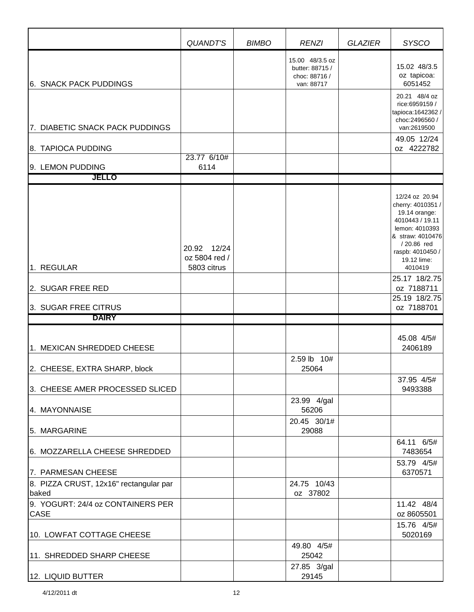|                                                 | <b>QUANDT'S</b>                             | <b>BIMBO</b> | <b>RENZI</b>                                                      | <b>GLAZIER</b> | <b>SYSCO</b>                                                                                                                                                              |
|-------------------------------------------------|---------------------------------------------|--------------|-------------------------------------------------------------------|----------------|---------------------------------------------------------------------------------------------------------------------------------------------------------------------------|
| <b>6. SNACK PACK PUDDINGS</b>                   |                                             |              | 15.00 48/3.5 oz<br>butter: 88715 /<br>choc: 88716 /<br>van: 88717 |                | 15.02 48/3.5<br>oz tapicoa:<br>6051452                                                                                                                                    |
| 7. DIABETIC SNACK PACK PUDDINGS                 |                                             |              |                                                                   |                | 20.21 48/4 oz<br>rice: 6959159 /<br>tapioca: 1642362 /<br>choc:2496560 /<br>van:2619500                                                                                   |
|                                                 |                                             |              |                                                                   |                | 49.05 12/24                                                                                                                                                               |
| 8. TAPIOCA PUDDING                              | 23.77 6/10#                                 |              |                                                                   |                | oz 4222782                                                                                                                                                                |
| 9. LEMON PUDDING                                | 6114                                        |              |                                                                   |                |                                                                                                                                                                           |
| JELLO                                           |                                             |              |                                                                   |                |                                                                                                                                                                           |
| 1. REGULAR                                      | 20.92 12/24<br>oz 5804 red /<br>5803 citrus |              |                                                                   |                | 12/24 oz 20.94<br>cherry: 4010351 /<br>19.14 orange:<br>4010443 / 19.11<br>lemon: 4010393<br>& straw: 4010476<br>/20.86 red<br>raspb: 4010450 /<br>19.12 lime:<br>4010419 |
|                                                 |                                             |              |                                                                   |                | 25.17 18/2.75                                                                                                                                                             |
| 2. SUGAR FREE RED                               |                                             |              |                                                                   |                | oz 7188711<br>25.19 18/2.75                                                                                                                                               |
| 3. SUGAR FREE CITRUS                            |                                             |              |                                                                   |                | oz 7188701                                                                                                                                                                |
| <b>DAIRY</b>                                    |                                             |              |                                                                   |                |                                                                                                                                                                           |
| 1. MEXICAN SHREDDED CHEESE                      |                                             |              | 2.59 lb 10#                                                       |                | 45.08 4/5#<br>2406189                                                                                                                                                     |
| 2. CHEESE, EXTRA SHARP, block                   |                                             |              | 25064                                                             |                | 37.95 4/5#                                                                                                                                                                |
| 3. CHEESE AMER PROCESSED SLICED                 |                                             |              |                                                                   |                | 9493388                                                                                                                                                                   |
| 4. MAYONNAISE                                   |                                             |              | 23.99 4/gal<br>56206                                              |                |                                                                                                                                                                           |
| 5. MARGARINE                                    |                                             |              | 20.45 30/1#<br>29088                                              |                |                                                                                                                                                                           |
| 6. MOZZARELLA CHEESE SHREDDED                   |                                             |              |                                                                   |                | 64.11 6/5#<br>7483654                                                                                                                                                     |
| 7. PARMESAN CHEESE                              |                                             |              |                                                                   |                | 53.79 4/5#<br>6370571                                                                                                                                                     |
| 8. PIZZA CRUST, 12x16" rectangular par<br>baked |                                             |              | 24.75 10/43<br>oz 37802                                           |                |                                                                                                                                                                           |
| 9. YOGURT: 24/4 oz CONTAINERS PER<br>CASE       |                                             |              |                                                                   |                | 11.42 48/4<br>oz 8605501                                                                                                                                                  |
| 10. LOWFAT COTTAGE CHEESE                       |                                             |              |                                                                   |                | 15.76 4/5#<br>5020169                                                                                                                                                     |
| 11. SHREDDED SHARP CHEESE                       |                                             |              | 49.80 4/5#<br>25042                                               |                |                                                                                                                                                                           |
| 12. LIQUID BUTTER                               |                                             |              | 27.85 3/gal<br>29145                                              |                |                                                                                                                                                                           |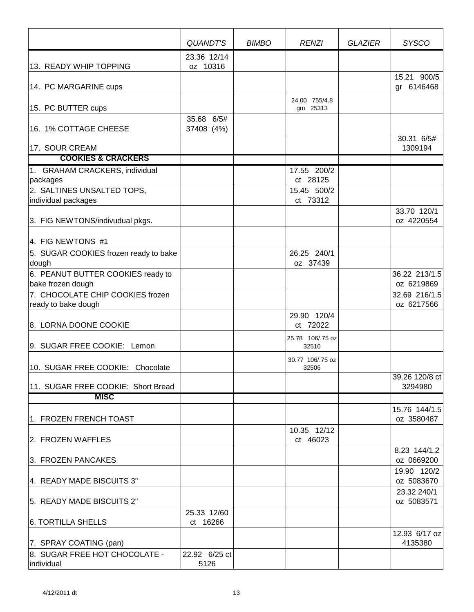|                                                                       | QUANDT'S                 | <b>BIMBO</b> | <b>RENZI</b>              | <b>GLAZIER</b> | <b>SYSCO</b>                |
|-----------------------------------------------------------------------|--------------------------|--------------|---------------------------|----------------|-----------------------------|
| 13. READY WHIP TOPPING                                                | 23.36 12/14<br>oz 10316  |              |                           |                |                             |
| 14. PC MARGARINE cups                                                 |                          |              |                           |                | 15.21 900/5<br>gr 6146468   |
| 15. PC BUTTER cups                                                    |                          |              | 24.00 755/4.8<br>gm 25313 |                |                             |
| 16. 1% COTTAGE CHEESE                                                 | 35.68 6/5#<br>37408 (4%) |              |                           |                | 30.31 6/5#                  |
| 17. SOUR CREAM                                                        |                          |              |                           |                | 1309194                     |
| <b>COOKIES &amp; CRACKERS</b>                                         |                          |              |                           |                |                             |
| 1. GRAHAM CRACKERS, individual<br>packages                            |                          |              | 17.55 200/2<br>ct 28125   |                |                             |
| 2. SALTINES UNSALTED TOPS,<br>individual packages                     |                          |              | 15.45 500/2<br>ct 73312   |                |                             |
| 3. FIG NEWTONS/indivudual pkgs.                                       |                          |              |                           |                | 33.70 120/1<br>oz 4220554   |
| 4. FIG NEWTONS #1                                                     |                          |              |                           |                |                             |
| 5. SUGAR COOKIES frozen ready to bake<br>dough                        |                          |              | 26.25 240/1<br>oz 37439   |                |                             |
| 6. PEANUT BUTTER COOKIES ready to<br>bake frozen dough                |                          |              |                           |                | 36.22 213/1.5<br>oz 6219869 |
| 7. CHOCOLATE CHIP COOKIES frozen<br>ready to bake dough               |                          |              |                           |                | 32.69 216/1.5<br>oz 6217566 |
| 8. LORNA DOONE COOKIE                                                 |                          |              | 29.90 120/4<br>ct 72022   |                |                             |
| 9. SUGAR FREE COOKIE: Lemon                                           |                          |              | 25.78 106/.75 oz<br>32510 |                |                             |
| 10. SUGAR FREE COOKIE: Chocolate                                      |                          |              | 30.77 106/.75 oz<br>32506 |                |                             |
| 11. SUGAR FREE COOKIE: Short Bread                                    |                          |              |                           |                | 39.26 120/8 ct<br>3294980   |
| <b>MISC</b>                                                           |                          |              |                           |                |                             |
| 1. FROZEN FRENCH TOAST                                                |                          |              |                           |                | 15.76 144/1.5<br>oz 3580487 |
| 2. FROZEN WAFFLES                                                     |                          |              | 10.35 12/12<br>ct 46023   |                |                             |
| 3. FROZEN PANCAKES                                                    |                          |              |                           |                | 8.23 144/1.2<br>oz 0669200  |
| 4. READY MADE BISCUITS 3"                                             |                          |              |                           |                | 19.90 120/2<br>oz 5083670   |
| 5. READY MADE BISCUITS 2"                                             |                          |              |                           |                | 23.32 240/1<br>oz 5083571   |
| 6. TORTILLA SHELLS                                                    | 25.33 12/60<br>ct 16266  |              |                           |                |                             |
| 7. SPRAY COATING (pan)<br>8. SUGAR FREE HOT CHOCOLATE -<br>individual | 22.92 6/25 ct<br>5126    |              |                           |                | 12.93 6/17 oz<br>4135380    |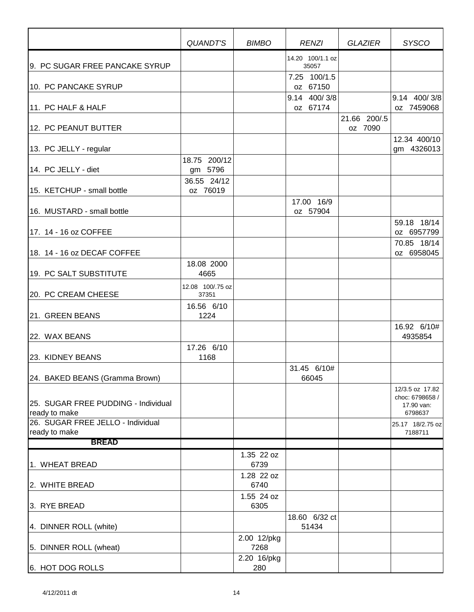|                                                      | <b>QUANDT'S</b>           | <b>BIMBO</b>        | <b>RENZI</b>              | <b>GLAZIER</b>          | <b>SYSCO</b>                                                |
|------------------------------------------------------|---------------------------|---------------------|---------------------------|-------------------------|-------------------------------------------------------------|
| 9. PC SUGAR FREE PANCAKE SYRUP                       |                           |                     | 14.20 100/1.1 oz<br>35057 |                         |                                                             |
| 10. PC PANCAKE SYRUP                                 |                           |                     | 7.25 100/1.5<br>oz 67150  |                         |                                                             |
| 11. PC HALF & HALF                                   |                           |                     | 9.14 400/3/8<br>oz 67174  |                         | 9.14 400/3/8<br>oz 7459068                                  |
| 12. PC PEANUT BUTTER                                 |                           |                     |                           | 21.66 200/.5<br>oz 7090 |                                                             |
| 13. PC JELLY - regular                               |                           |                     |                           |                         | 12.34 400/10<br>gm 4326013                                  |
| 14. PC JELLY - diet                                  | 18.75 200/12<br>gm 5796   |                     |                           |                         |                                                             |
| 15. KETCHUP - small bottle                           | 36.55 24/12<br>oz 76019   |                     |                           |                         |                                                             |
| 16. MUSTARD - small bottle                           |                           |                     | 17.00 16/9<br>oz 57904    |                         |                                                             |
| 17. 14 - 16 oz COFFEE                                |                           |                     |                           |                         | 59.18 18/14<br>oz 6957799                                   |
| 18. 14 - 16 oz DECAF COFFEE                          |                           |                     |                           |                         | 70.85 18/14<br>oz 6958045                                   |
| 19. PC SALT SUBSTITUTE                               | 18.08 2000<br>4665        |                     |                           |                         |                                                             |
| 20. PC CREAM CHEESE                                  | 12.08 100/.75 oz<br>37351 |                     |                           |                         |                                                             |
| 21. GREEN BEANS                                      | 16.56 6/10<br>1224        |                     |                           |                         |                                                             |
| 22. WAX BEANS                                        |                           |                     |                           |                         | 16.92 6/10#<br>4935854                                      |
| <b>23. KIDNEY BEANS</b>                              | 17.26 6/10<br>1168        |                     |                           |                         |                                                             |
| 24. BAKED BEANS (Gramma Brown)                       |                           |                     | 31.45 6/10#<br>66045      |                         |                                                             |
| 25. SUGAR FREE PUDDING - Individual<br>ready to make |                           |                     |                           |                         | 12/3.5 oz 17.82<br>choc: 6798658 /<br>17.90 van:<br>6798637 |
| 26. SUGAR FREE JELLO - Individual<br>ready to make   |                           |                     |                           |                         | 25.17 18/2.75 oz<br>7188711                                 |
| <b>BREAD</b>                                         |                           |                     |                           |                         |                                                             |
|                                                      |                           | 1.35 22 oz          |                           |                         |                                                             |
| 1. WHEAT BREAD                                       |                           | 6739                |                           |                         |                                                             |
| 2. WHITE BREAD                                       |                           | 1.28 22 oz<br>6740  |                           |                         |                                                             |
| 3. RYE BREAD                                         |                           | 1.55 24 oz<br>6305  |                           |                         |                                                             |
| 4. DINNER ROLL (white)                               |                           |                     | 18.60 6/32 ct<br>51434    |                         |                                                             |
| 5. DINNER ROLL (wheat)                               |                           | 2.00 12/pkg<br>7268 |                           |                         |                                                             |
| 6. HOT DOG ROLLS                                     |                           | 2.20 16/pkg<br>280  |                           |                         |                                                             |